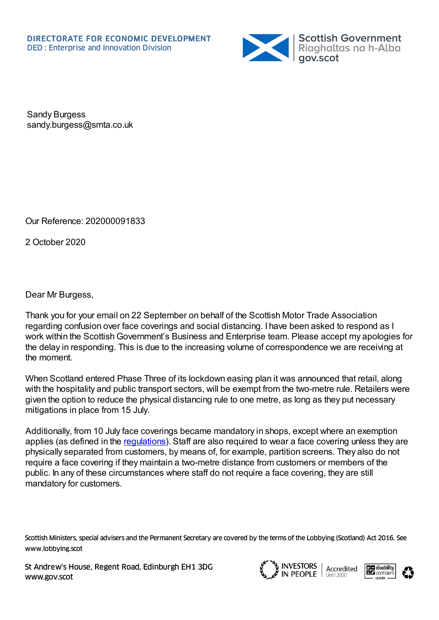

Sandy Burgess sandy.burgess@smta.co.uk

Our Reference: 202000091833

2 October 2020

Dear Mr Burgess,

Thank you for your email on 22 September on behalf of the Scottish Motor Trade Association regarding confusion over face coverings and social distancing. I have been asked to respond as I work within the Scottish Government's Business and Enterprise team. Please accept my apologies for the delay in responding. This is due to the increasing volume of correspondence we are receiving at the moment.

When Scotland entered Phase Three of its lockdown easing plan it was announced that retail, along with the hospitality and public transport sectors, will be exempt from the two-metre rule. Retailers were given the option to reduce the physical distancing rule to one metre, as long as they put necessary mitigations in place from 15 July.

Additionally, from 10 July face coverings became mandatory in shops, except where an exemption applies (as defined in the [regulations](https://www.legislation.gov.uk/ssi/2020/103/regulation/6B)). Staff are also required to wear a face covering unless they are physically separated from customers, by means of, for example, partition screens. They also do not require a face covering if they maintain a two-metre distance from customers or members of the public. In any of these circumstances where staff do not require a face covering, they are still mandatory for customers.

Scottish Ministers, special advisers and the Permanent Secretary are covered by the terms of the Lobbying (Scotland) Act 2016. See www.lobbying.scot

St Andrew's House, Regent Road, Edinburgh EH1 3DG www.gov.scot